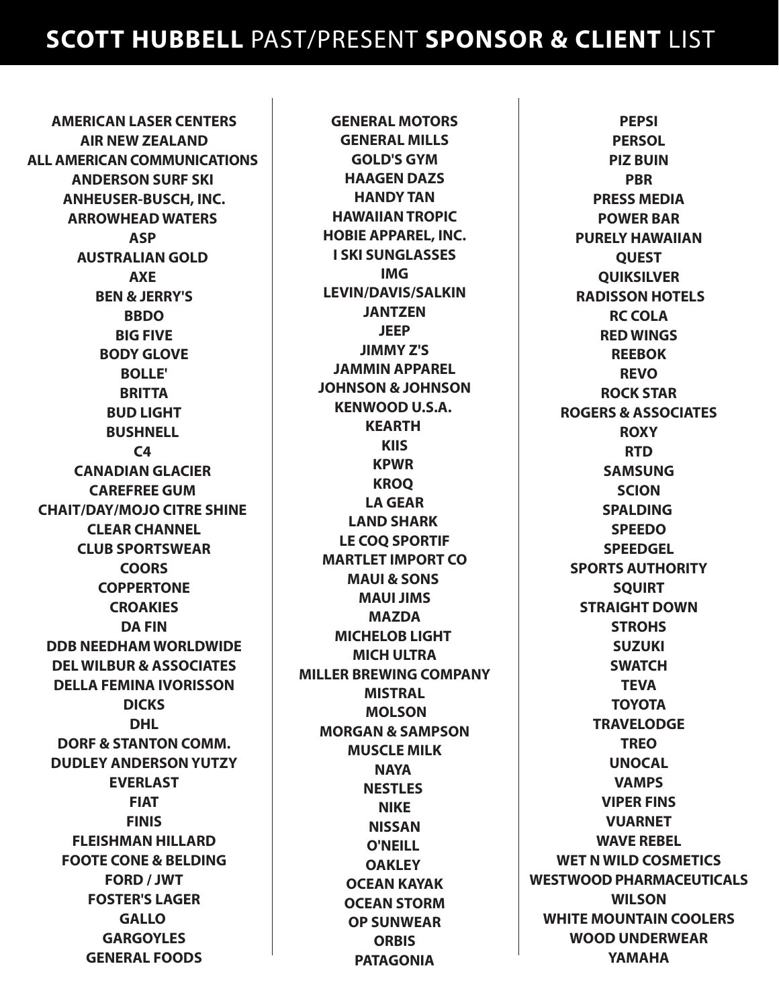**AMERICAN LASER CENTERS AIR NEW ZEALAND ALL AMERICAN COMMUNICATIONS ANDERSON SURF SKI ANHEUSER-BUSCH, INC. ARROWHEAD WATERS ASP AUSTRALIAN GOLD AXE BEN & JERRY'S BBDO BIG FIVE BODY GLOVE BOLLE' BRITTA BUD LIGHT BUSHNELL C4 CANADIAN GLACIER CAREFREE GUM CHAIT/DAY/MOJO CITRE SHINE CLEAR CHANNEL CLUB SPORTSWEAR COORS COPPERTONE CROAKIES DA FIN DDB NEEDHAM WORLDWIDE DEL WILBUR & ASSOCIATES DELLA FEMINA IVORISSON DICKS DHL DORF & STANTON COMM. DUDLEY ANDERSON YUTZY EVERLAST FIAT FINIS FLEISHMAN HILLARD FOOTE CONE & BELDING FORD / JWT FOSTER'S LAGER GALLO GARGOYLES GENERAL FOODS**

**GENERAL MOTORS GENERAL MILLS GOLD'S GYM HAAGEN DAZS HANDY TAN HAWAIIAN TROPIC HOBIE APPAREL, INC. I SKI SUNGLASSES IMG LEVIN/DAVIS/SALKIN JANTZEN JEEP JIMMY Z'S JAMMIN APPAREL JOHNSON & JOHNSON KENWOOD U.S.A. KEARTH KIIS KPWR KROQ LA GEAR LAND SHARK LE COQ SPORTIF MARTLET IMPORT CO MAUI & SONS MAUI JIMS MAZDA MICHELOB LIGHT MICH ULTRA MILLER BREWING COMPANY MISTRAL MOLSON MORGAN & SAMPSON MUSCLE MILK NAYA NESTLES NIKE NISSAN O'NEILL OAKLEY OCEAN KAYAK OCEAN STORM OP SUNWEAR ORBIS PATAGONIA**

**PEPSI PERSOL PIZ BUIN PBR PRESS MEDIA POWER BAR PURELY HAWAIIAN QUEST QUIKSILVER RADISSON HOTELS RC COLA RED WINGS REEBOK REVO ROCK STAR ROGERS & ASSOCIATES ROXY RTD SAMSUNG SCION SPALDING SPEEDO SPEEDGEL SPORTS AUTHORITY SQUIRT STRAIGHT DOWN STROHS SUZUKI SWATCH TEVA TOYOTA TRAVELODGE TREO UNOCAL VAMPS VIPER FINS VUARNET WAVE REBEL WET N WILD COSMETICS WESTWOOD PHARMACEUTICALS WILSON WHITE MOUNTAIN COOLERS WOOD UNDERWEAR YAMAHA**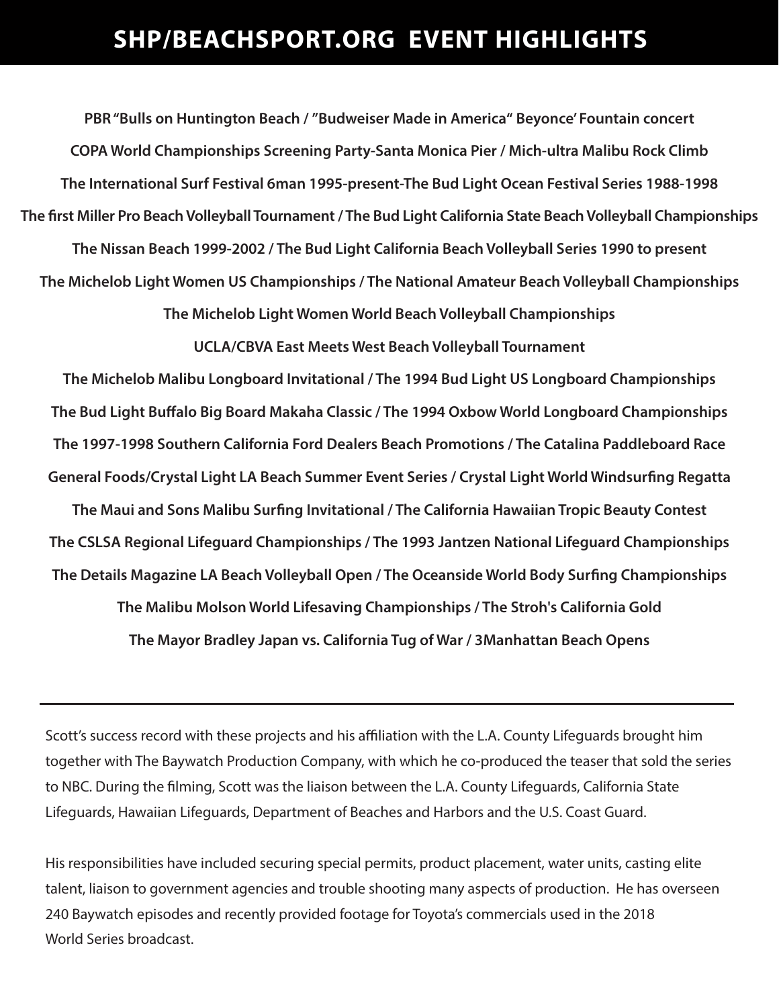## **SHP/BEACHSPORT.ORG EVENT HIGHLIGHTS**

**PBR "Bulls on Huntington Beach / "Budweiser Made in America" Beyonce' Fountain concert COPA World Championships Screening Party-Santa Monica Pier / Mich-ultra Malibu Rock Climb The International Surf Festival 6man 1995-present-The Bud Light Ocean Festival Series 1988-1998** The first Miller Pro Beach Volleyball Tournament / The Bud Light California State Beach Volleyball Championships **The Nissan Beach 1999-2002 / The Bud Light California Beach Volleyball Series 1990 to present The Michelob Light Women US Championships / The National Amateur Beach Volleyball Championships The Michelob Light Women World Beach Volleyball Championships**

**UCLA/CBVA East Meets West Beach Volleyball Tournament**

**The Michelob Malibu Longboard Invitational / The 1994 Bud Light US Longboard Championships** The Bud Light Buffalo Big Board Makaha Classic / The 1994 Oxbow World Longboard Championships **The 1997-1998 Southern California Ford Dealers Beach Promotions / The Catalina Paddleboard Race** General Foods/Crystal Light LA Beach Summer Event Series / Crystal Light World Windsurfing Regatta **The Maui and Sons Malibu Surfing Invitational / The California Hawaiian Tropic Beauty Contest** 

**The CSLSA Regional Lifeguard Championships / The 1993 Jantzen National Lifeguard Championships** The Details Magazine LA Beach Volleyball Open / The Oceanside World Body Surfing Championships

**The Malibu Molson World Lifesaving Championships / The Stroh's California Gold The Mayor Bradley Japan vs. California Tug of War / 3Manhattan Beach Opens** 

Scott's success record with these projects and his affiliation with the L.A. County Lifeguards brought him together with The Baywatch Production Company, with which he co-produced the teaser that sold the series to NBC. During the filming, Scott was the liaison between the L.A. County Lifeguards, California State Lifeguards, Hawaiian Lifeguards, Department of Beaches and Harbors and the U.S. Coast Guard.

His responsibilities have included securing special permits, product placement, water units, casting elite talent, liaison to government agencies and trouble shooting many aspects of production. He has overseen 240 Baywatch episodes and recently provided footage for Toyota's commercials used in the 2018 World Series broadcast.